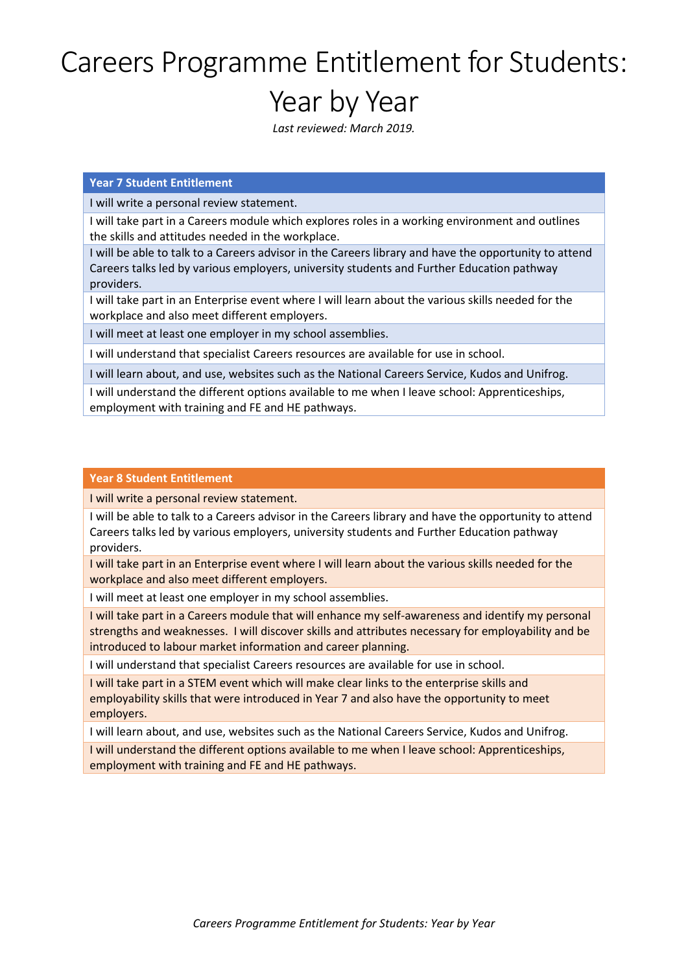# Careers Programme Entitlement for Students: Year by Year

*Last reviewed: March 2019.*

## **Year 7 Student Entitlement**

I will write a personal review statement.

I will take part in a Careers module which explores roles in a working environment and outlines the skills and attitudes needed in the workplace.

I will be able to talk to a Careers advisor in the Careers library and have the opportunity to attend Careers talks led by various employers, university students and Further Education pathway providers.

I will take part in an Enterprise event where I will learn about the various skills needed for the workplace and also meet different employers.

I will meet at least one employer in my school assemblies.

I will understand that specialist Careers resources are available for use in school.

I will learn about, and use, websites such as the National Careers Service, Kudos and Unifrog.

I will understand the different options available to me when I leave school: Apprenticeships, employment with training and FE and HE pathways.

### **Year 8 Student Entitlement**

I will write a personal review statement.

I will be able to talk to a Careers advisor in the Careers library and have the opportunity to attend Careers talks led by various employers, university students and Further Education pathway providers.

I will take part in an Enterprise event where I will learn about the various skills needed for the workplace and also meet different employers.

I will meet at least one employer in my school assemblies.

I will take part in a Careers module that will enhance my self-awareness and identify my personal strengths and weaknesses. I will discover skills and attributes necessary for employability and be introduced to labour market information and career planning.

I will understand that specialist Careers resources are available for use in school.

I will take part in a STEM event which will make clear links to the enterprise skills and employability skills that were introduced in Year 7 and also have the opportunity to meet employers.

I will learn about, and use, websites such as the National Careers Service, Kudos and Unifrog.

I will understand the different options available to me when I leave school: Apprenticeships, employment with training and FE and HE pathways.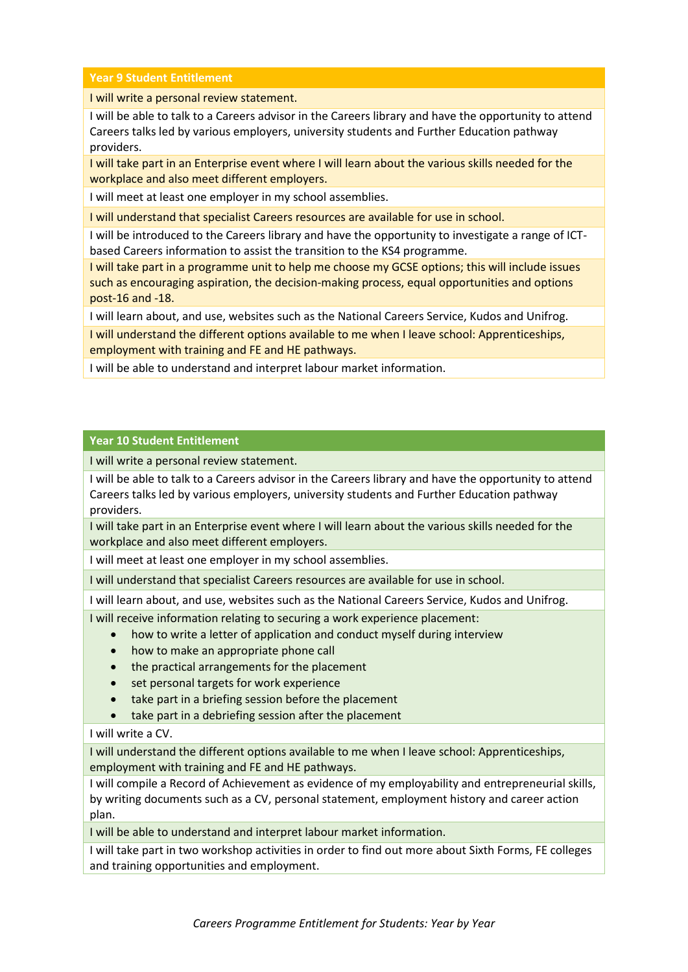**Year 9 Student Entitlement**

I will write a personal review statement.

I will be able to talk to a Careers advisor in the Careers library and have the opportunity to attend Careers talks led by various employers, university students and Further Education pathway providers.

I will take part in an Enterprise event where I will learn about the various skills needed for the workplace and also meet different employers.

I will meet at least one employer in my school assemblies.

I will understand that specialist Careers resources are available for use in school.

I will be introduced to the Careers library and have the opportunity to investigate a range of ICTbased Careers information to assist the transition to the KS4 programme.

I will take part in a programme unit to help me choose my GCSE options; this will include issues such as encouraging aspiration, the decision-making process, equal opportunities and options post-16 and -18.

I will learn about, and use, websites such as the National Careers Service, Kudos and Unifrog.

I will understand the different options available to me when I leave school: Apprenticeships, employment with training and FE and HE pathways.

I will be able to understand and interpret labour market information.

### **Year 10 Student Entitlement**

I will write a personal review statement.

I will be able to talk to a Careers advisor in the Careers library and have the opportunity to attend Careers talks led by various employers, university students and Further Education pathway providers.

I will take part in an Enterprise event where I will learn about the various skills needed for the workplace and also meet different employers.

I will meet at least one employer in my school assemblies.

I will understand that specialist Careers resources are available for use in school.

I will learn about, and use, websites such as the National Careers Service, Kudos and Unifrog.

I will receive information relating to securing a work experience placement:

- how to write a letter of application and conduct myself during interview
- how to make an appropriate phone call
- the practical arrangements for the placement
- set personal targets for work experience
- take part in a briefing session before the placement
- take part in a debriefing session after the placement

## I will write a CV.

I will understand the different options available to me when I leave school: Apprenticeships, employment with training and FE and HE pathways.

I will compile a Record of Achievement as evidence of my employability and entrepreneurial skills, by writing documents such as a CV, personal statement, employment history and career action plan.

I will be able to understand and interpret labour market information.

I will take part in two workshop activities in order to find out more about Sixth Forms, FE colleges and training opportunities and employment.